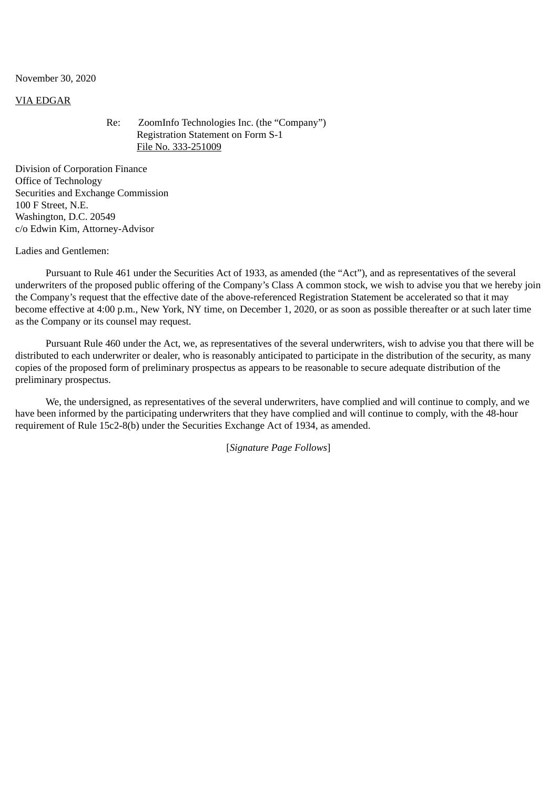November 30, 2020

## VIA EDGAR

Re: ZoomInfo Technologies Inc. (the "Company") Registration Statement on Form S-1 File No. 333-251009

Division of Corporation Finance Office of Technology Securities and Exchange Commission 100 F Street, N.E. Washington, D.C. 20549 c/o Edwin Kim, Attorney-Advisor

Ladies and Gentlemen:

Pursuant to Rule 461 under the Securities Act of 1933, as amended (the "Act"), and as representatives of the several underwriters of the proposed public offering of the Company's Class A common stock, we wish to advise you that we hereby join the Company's request that the effective date of the above-referenced Registration Statement be accelerated so that it may become effective at 4:00 p.m., New York, NY time, on December 1, 2020, or as soon as possible thereafter or at such later time as the Company or its counsel may request.

Pursuant Rule 460 under the Act, we, as representatives of the several underwriters, wish to advise you that there will be distributed to each underwriter or dealer, who is reasonably anticipated to participate in the distribution of the security, as many copies of the proposed form of preliminary prospectus as appears to be reasonable to secure adequate distribution of the preliminary prospectus.

We, the undersigned, as representatives of the several underwriters, have complied and will continue to comply, and we have been informed by the participating underwriters that they have complied and will continue to comply, with the 48-hour requirement of Rule 15c2-8(b) under the Securities Exchange Act of 1934, as amended.

[*Signature Page Follows*]